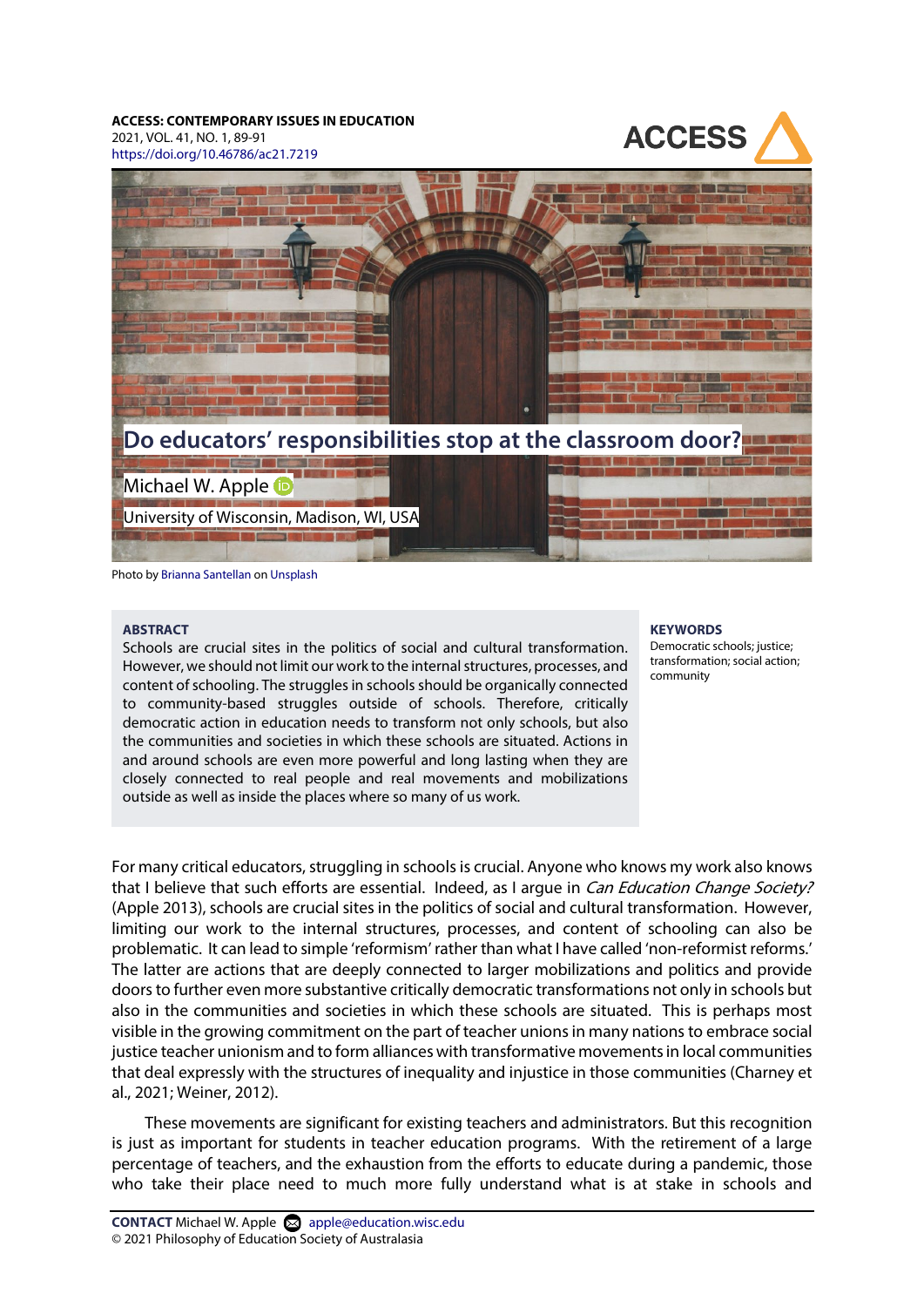### **ACCESS: CONTEMPORARY ISSUES IN EDUCATION**

2021, VOL. 41, NO. 1, 89-91 <https://doi.org/10.46786/ac21.7219>





Photo b[y Brianna Santellan](https://unsplash.com/@brianna_santellan) o[n Unsplash](https://unsplash.com/photos/Il_0LsRD2ls)

#### **ABSTRACT**

Schools are crucial sites in the politics of social and cultural transformation. However, we should not limit our work to the internal structures, processes, and content of schooling. The struggles in schools should be organically connected to community-based struggles outside of schools. Therefore, critically democratic action in education needs to transform not only schools, but also the communities and societies in which these schools are situated. Actions in and around schools are even more powerful and long lasting when they are closely connected to real people and real movements and mobilizations outside as well as inside the places where so many of us work.

#### **KEYWORDS**

Democratic schools; justice; transformation; social action; community

For many critical educators, struggling in schools is crucial. Anyone who knows my work also knows that I believe that such efforts are essential. Indeed, as I arque in *Can Education Change Society?* (Apple 2013), schools are crucial sites in the politics of social and cultural transformation. However, limiting our work to the internal structures, processes, and content of schooling can also be problematic. It can lead to simple 'reformism' rather than what I have called 'non-reformist reforms.' The latter are actions that are deeply connected to larger mobilizations and politics and provide doors to further even more substantive critically democratic transformations not only in schools but also in the communities and societies in which these schools are situated. This is perhaps most visible in the growing commitment on the part of teacher unions in many nations to embrace social justice teacher unionism and to form alliances with transformative movements in local communities that deal expressly with the structures of inequality and injustice in those communities (Charney et al., 2021; Weiner, 2012).

These movements are significant for existing teachers and administrators. But this recognition is just as important for students in teacher education programs. With the retirement of a large percentage of teachers, and the exhaustion from the efforts to educate during a pandemic, those who take their place need to much more fully understand what is at stake in schools and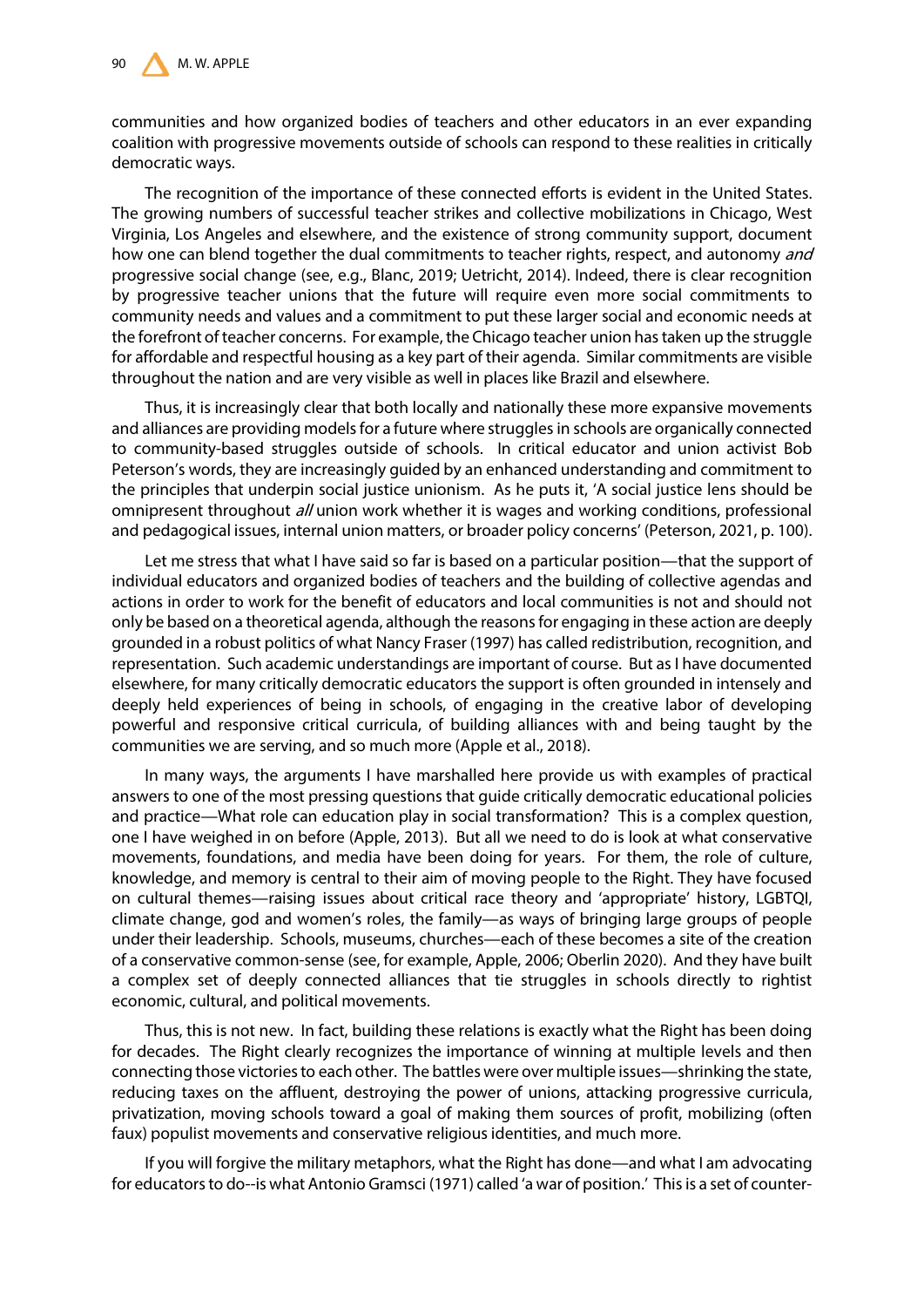communities and how organized bodies of teachers and other educators in an ever expanding coalition with progressive movements outside of schools can respond to these realities in critically democratic ways.

The recognition of the importance of these connected efforts is evident in the United States. The growing numbers of successful teacher strikes and collective mobilizations in Chicago, West Virginia, Los Angeles and elsewhere, and the existence of strong community support, document how one can blend together the dual commitments to teacher rights, respect, and autonomy and progressive social change (see, e.g., Blanc, 2019; Uetricht, 2014). Indeed, there is clear recognition by progressive teacher unions that the future will require even more social commitments to community needs and values and a commitment to put these larger social and economic needs at the forefront of teacher concerns. For example, the Chicago teacher union has taken up the struggle for affordable and respectful housing as a key part of their agenda. Similar commitments are visible throughout the nation and are very visible as well in places like Brazil and elsewhere.

Thus, it is increasingly clear that both locally and nationally these more expansive movements and alliances are providing models for a future where struggles in schools are organically connected to community-based struggles outside of schools. In critical educator and union activist Bob Peterson's words, they are increasingly guided by an enhanced understanding and commitment to the principles that underpin social justice unionism. As he puts it, 'A social justice lens should be omnipresent throughout *all* union work whether it is wages and working conditions, professional and pedagogical issues, internal union matters, or broader policy concerns' (Peterson, 2021, p. 100).

Let me stress that what I have said so far is based on a particular position—that the support of individual educators and organized bodies of teachers and the building of collective agendas and actions in order to work for the benefit of educators and local communities is not and should not only be based on a theoretical agenda, although the reasons for engaging in these action are deeply grounded in a robust politics of what Nancy Fraser (1997) has called redistribution, recognition, and representation. Such academic understandings are important of course. But as I have documented elsewhere, for many critically democratic educators the support is often grounded in intensely and deeply held experiences of being in schools, of engaging in the creative labor of developing powerful and responsive critical curricula, of building alliances with and being taught by the communities we are serving, and so much more (Apple et al., 2018).

In many ways, the arguments I have marshalled here provide us with examples of practical answers to one of the most pressing questions that guide critically democratic educational policies and practice—What role can education play in social transformation? This is a complex question, one I have weighed in on before (Apple, 2013). But all we need to do is look at what conservative movements, foundations, and media have been doing for years. For them, the role of culture, knowledge, and memory is central to their aim of moving people to the Right. They have focused on cultural themes—raising issues about critical race theory and 'appropriate' history, LGBTQI, climate change, god and women's roles, the family—as ways of bringing large groups of people under their leadership. Schools, museums, churches—each of these becomes a site of the creation of a conservative common-sense (see, for example, Apple, 2006; Oberlin 2020). And they have built a complex set of deeply connected alliances that tie struggles in schools directly to rightist economic, cultural, and political movements.

Thus, this is not new. In fact, building these relations is exactly what the Right has been doing for decades. The Right clearly recognizes the importance of winning at multiple levels and then connecting those victories to each other. The battles were over multiple issues—shrinking the state, reducing taxes on the affluent, destroying the power of unions, attacking progressive curricula, privatization, moving schools toward a goal of making them sources of profit, mobilizing (often faux) populist movements and conservative religious identities, and much more.

If you will forgive the military metaphors, what the Right has done—and what I am advocating for educators to do--is what Antonio Gramsci (1971) called 'a war of position.' This is a set of counter-